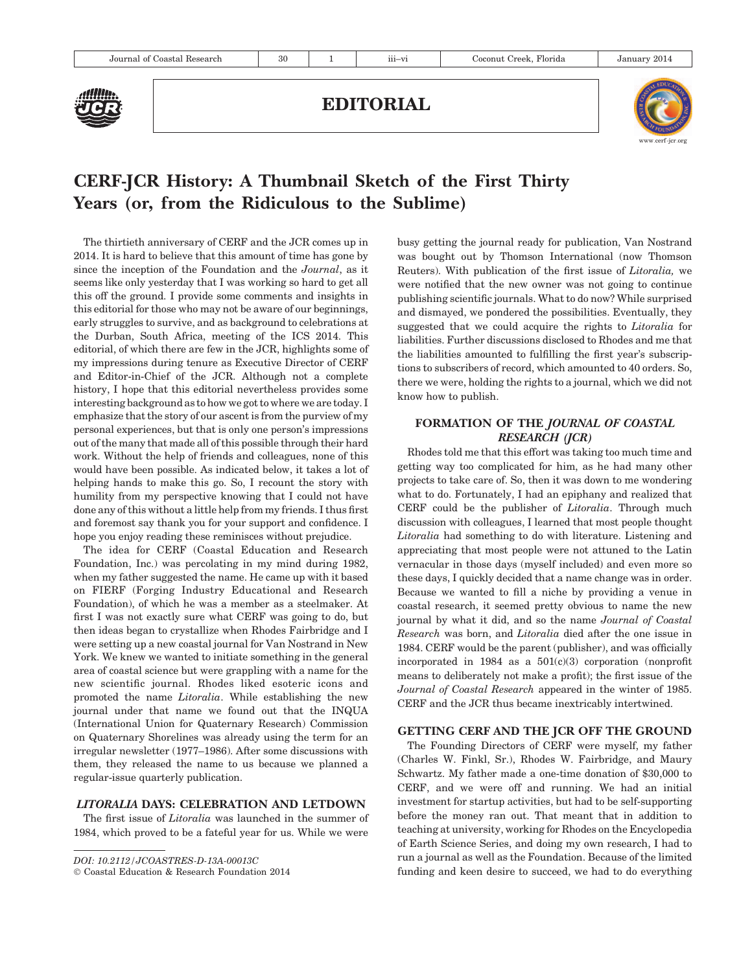

EDITORIAL



# CERF-JCR History: A Thumbnail Sketch of the First Thirty Years (or, from the Ridiculous to the Sublime)

The thirtieth anniversary of CERF and the JCR comes up in 2014. It is hard to believe that this amount of time has gone by since the inception of the Foundation and the Journal, as it seems like only yesterday that I was working so hard to get all this off the ground. I provide some comments and insights in this editorial for those who may not be aware of our beginnings, early struggles to survive, and as background to celebrations at the Durban, South Africa, meeting of the ICS 2014. This editorial, of which there are few in the JCR, highlights some of my impressions during tenure as Executive Director of CERF and Editor-in-Chief of the JCR. Although not a complete history, I hope that this editorial nevertheless provides some interesting background as to how we got to where we are today. I emphasize that the story of our ascent is from the purview of my personal experiences, but that is only one person's impressions out of the many that made all of this possible through their hard work. Without the help of friends and colleagues, none of this would have been possible. As indicated below, it takes a lot of helping hands to make this go. So, I recount the story with humility from my perspective knowing that I could not have done any of this without a little help from my friends. I thus first and foremost say thank you for your support and confidence. I hope you enjoy reading these reminisces without prejudice.

The idea for CERF (Coastal Education and Research Foundation, Inc.) was percolating in my mind during 1982, when my father suggested the name. He came up with it based on FIERF (Forging Industry Educational and Research Foundation), of which he was a member as a steelmaker. At first I was not exactly sure what CERF was going to do, but then ideas began to crystallize when Rhodes Fairbridge and I were setting up a new coastal journal for Van Nostrand in New York. We knew we wanted to initiate something in the general area of coastal science but were grappling with a name for the new scientific journal. Rhodes liked esoteric icons and promoted the name Litoralia. While establishing the new journal under that name we found out that the INQUA (International Union for Quaternary Research) Commission on Quaternary Shorelines was already using the term for an irregular newsletter (1977–1986). After some discussions with them, they released the name to us because we planned a regular-issue quarterly publication.

## LITORALIA DAYS: CELEBRATION AND LETDOWN

The first issue of Litoralia was launched in the summer of 1984, which proved to be a fateful year for us. While we were

busy getting the journal ready for publication, Van Nostrand was bought out by Thomson International (now Thomson Reuters). With publication of the first issue of Litoralia, we were notified that the new owner was not going to continue publishing scientific journals. What to do now? While surprised and dismayed, we pondered the possibilities. Eventually, they suggested that we could acquire the rights to *Litoralia* for liabilities. Further discussions disclosed to Rhodes and me that the liabilities amounted to fulfilling the first year's subscriptions to subscribers of record, which amounted to 40 orders. So, there we were, holding the rights to a journal, which we did not know how to publish.

# FORMATION OF THE JOURNAL OF COASTAL RESEARCH (JCR)

Rhodes told me that this effort was taking too much time and getting way too complicated for him, as he had many other projects to take care of. So, then it was down to me wondering what to do. Fortunately, I had an epiphany and realized that CERF could be the publisher of Litoralia. Through much discussion with colleagues, I learned that most people thought Litoralia had something to do with literature. Listening and appreciating that most people were not attuned to the Latin vernacular in those days (myself included) and even more so these days, I quickly decided that a name change was in order. Because we wanted to fill a niche by providing a venue in coastal research, it seemed pretty obvious to name the new journal by what it did, and so the name Journal of Coastal Research was born, and Litoralia died after the one issue in 1984. CERF would be the parent (publisher), and was officially incorporated in 1984 as a 501(c)(3) corporation (nonprofit means to deliberately not make a profit); the first issue of the Journal of Coastal Research appeared in the winter of 1985. CERF and the JCR thus became inextricably intertwined.

#### GETTING CERF AND THE JCR OFF THE GROUND

The Founding Directors of CERF were myself, my father (Charles W. Finkl, Sr.), Rhodes W. Fairbridge, and Maury Schwartz. My father made a one-time donation of \$30,000 to CERF, and we were off and running. We had an initial investment for startup activities, but had to be self-supporting before the money ran out. That meant that in addition to teaching at university, working for Rhodes on the Encyclopedia of Earth Science Series, and doing my own research, I had to run a journal as well as the Foundation. Because of the limited funding and keen desire to succeed, we had to do everything

DOI: 10.2112/JCOASTRES-D-13A-00013C

<sup>©</sup> Coastal Education & Research Foundation 2014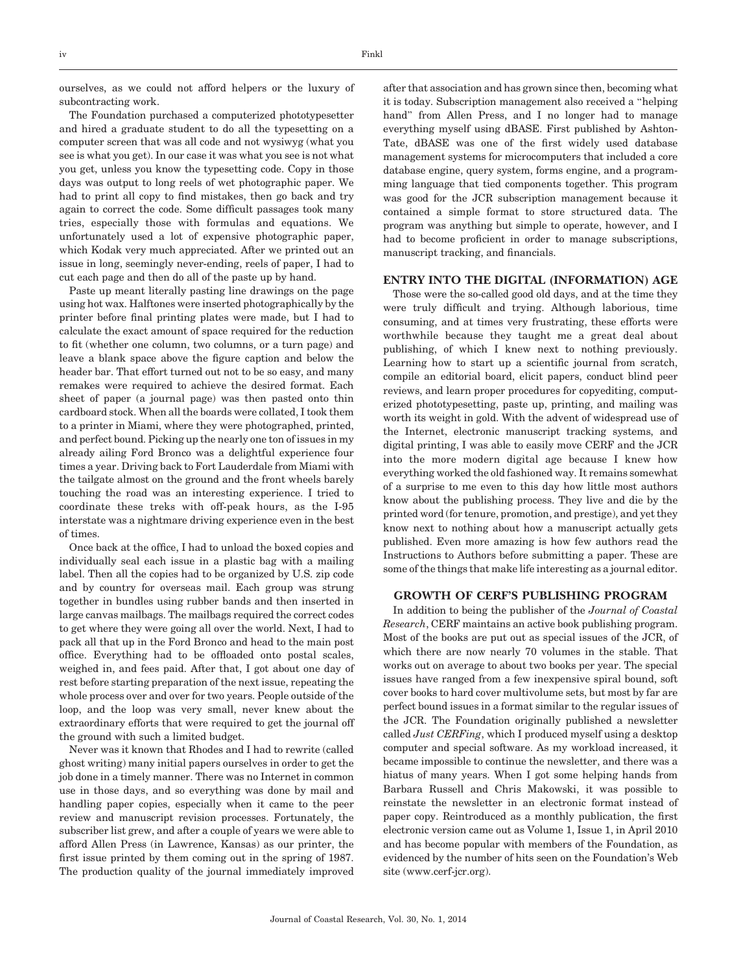ourselves, as we could not afford helpers or the luxury of subcontracting work.

The Foundation purchased a computerized phototypesetter and hired a graduate student to do all the typesetting on a computer screen that was all code and not wysiwyg (what you see is what you get). In our case it was what you see is not what you get, unless you know the typesetting code. Copy in those days was output to long reels of wet photographic paper. We had to print all copy to find mistakes, then go back and try again to correct the code. Some difficult passages took many tries, especially those with formulas and equations. We unfortunately used a lot of expensive photographic paper, which Kodak very much appreciated. After we printed out an issue in long, seemingly never-ending, reels of paper, I had to cut each page and then do all of the paste up by hand.

Paste up meant literally pasting line drawings on the page using hot wax. Halftones were inserted photographically by the printer before final printing plates were made, but I had to calculate the exact amount of space required for the reduction to fit (whether one column, two columns, or a turn page) and leave a blank space above the figure caption and below the header bar. That effort turned out not to be so easy, and many remakes were required to achieve the desired format. Each sheet of paper (a journal page) was then pasted onto thin cardboard stock. When all the boards were collated, I took them to a printer in Miami, where they were photographed, printed, and perfect bound. Picking up the nearly one ton of issues in my already ailing Ford Bronco was a delightful experience four times a year. Driving back to Fort Lauderdale from Miami with the tailgate almost on the ground and the front wheels barely touching the road was an interesting experience. I tried to coordinate these treks with off-peak hours, as the I-95 interstate was a nightmare driving experience even in the best of times.

Once back at the office, I had to unload the boxed copies and individually seal each issue in a plastic bag with a mailing label. Then all the copies had to be organized by U.S. zip code and by country for overseas mail. Each group was strung together in bundles using rubber bands and then inserted in large canvas mailbags. The mailbags required the correct codes to get where they were going all over the world. Next, I had to pack all that up in the Ford Bronco and head to the main post office. Everything had to be offloaded onto postal scales, weighed in, and fees paid. After that, I got about one day of rest before starting preparation of the next issue, repeating the whole process over and over for two years. People outside of the loop, and the loop was very small, never knew about the extraordinary efforts that were required to get the journal off the ground with such a limited budget.

Never was it known that Rhodes and I had to rewrite (called ghost writing) many initial papers ourselves in order to get the job done in a timely manner. There was no Internet in common use in those days, and so everything was done by mail and handling paper copies, especially when it came to the peer review and manuscript revision processes. Fortunately, the subscriber list grew, and after a couple of years we were able to afford Allen Press (in Lawrence, Kansas) as our printer, the first issue printed by them coming out in the spring of 1987. The production quality of the journal immediately improved

after that association and has grown since then, becoming what it is today. Subscription management also received a ''helping hand'' from Allen Press, and I no longer had to manage everything myself using dBASE. First published by Ashton-Tate, dBASE was one of the first widely used database management systems for microcomputers that included a core database engine, query system, forms engine, and a programming language that tied components together. This program was good for the JCR subscription management because it contained a simple format to store structured data. The program was anything but simple to operate, however, and I had to become proficient in order to manage subscriptions, manuscript tracking, and financials.

#### ENTRY INTO THE DIGITAL (INFORMATION) AGE

Those were the so-called good old days, and at the time they were truly difficult and trying. Although laborious, time consuming, and at times very frustrating, these efforts were worthwhile because they taught me a great deal about publishing, of which I knew next to nothing previously. Learning how to start up a scientific journal from scratch, compile an editorial board, elicit papers, conduct blind peer reviews, and learn proper procedures for copyediting, computerized phototypesetting, paste up, printing, and mailing was worth its weight in gold. With the advent of widespread use of the Internet, electronic manuscript tracking systems, and digital printing, I was able to easily move CERF and the JCR into the more modern digital age because I knew how everything worked the old fashioned way. It remains somewhat of a surprise to me even to this day how little most authors know about the publishing process. They live and die by the printed word (for tenure, promotion, and prestige), and yet they know next to nothing about how a manuscript actually gets published. Even more amazing is how few authors read the Instructions to Authors before submitting a paper. These are some of the things that make life interesting as a journal editor.

#### GROWTH OF CERF'S PUBLISHING PROGRAM

In addition to being the publisher of the Journal of Coastal Research, CERF maintains an active book publishing program. Most of the books are put out as special issues of the JCR, of which there are now nearly 70 volumes in the stable. That works out on average to about two books per year. The special issues have ranged from a few inexpensive spiral bound, soft cover books to hard cover multivolume sets, but most by far are perfect bound issues in a format similar to the regular issues of the JCR. The Foundation originally published a newsletter called  $Just \, CERFing$ , which I produced myself using a desktop computer and special software. As my workload increased, it became impossible to continue the newsletter, and there was a hiatus of many years. When I got some helping hands from Barbara Russell and Chris Makowski, it was possible to reinstate the newsletter in an electronic format instead of paper copy. Reintroduced as a monthly publication, the first electronic version came out as Volume 1, Issue 1, in April 2010 and has become popular with members of the Foundation, as evidenced by the number of hits seen on the Foundation's Web site (www.cerf-jcr.org).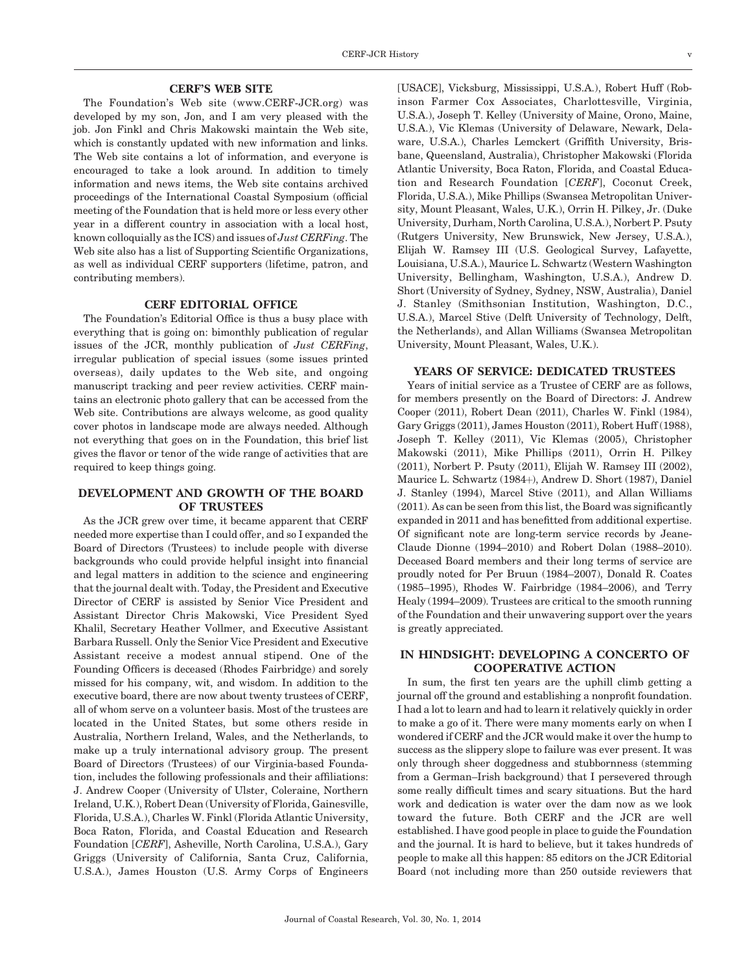## CERF'S WEB SITE

The Foundation's Web site (www.CERF-JCR.org) was developed by my son, Jon, and I am very pleased with the job. Jon Finkl and Chris Makowski maintain the Web site, which is constantly updated with new information and links. The Web site contains a lot of information, and everyone is encouraged to take a look around. In addition to timely information and news items, the Web site contains archived proceedings of the International Coastal Symposium (official meeting of the Foundation that is held more or less every other year in a different country in association with a local host, known colloquially as the ICS) and issues of Just CERFing. The Web site also has a list of Supporting Scientific Organizations, as well as individual CERF supporters (lifetime, patron, and contributing members).

#### CERF EDITORIAL OFFICE

The Foundation's Editorial Office is thus a busy place with everything that is going on: bimonthly publication of regular issues of the JCR, monthly publication of Just CERFing, irregular publication of special issues (some issues printed overseas), daily updates to the Web site, and ongoing manuscript tracking and peer review activities. CERF maintains an electronic photo gallery that can be accessed from the Web site. Contributions are always welcome, as good quality cover photos in landscape mode are always needed. Although not everything that goes on in the Foundation, this brief list gives the flavor or tenor of the wide range of activities that are required to keep things going.

# DEVELOPMENT AND GROWTH OF THE BOARD OF TRUSTEES

As the JCR grew over time, it became apparent that CERF needed more expertise than I could offer, and so I expanded the Board of Directors (Trustees) to include people with diverse backgrounds who could provide helpful insight into financial and legal matters in addition to the science and engineering that the journal dealt with. Today, the President and Executive Director of CERF is assisted by Senior Vice President and Assistant Director Chris Makowski, Vice President Syed Khalil, Secretary Heather Vollmer, and Executive Assistant Barbara Russell. Only the Senior Vice President and Executive Assistant receive a modest annual stipend. One of the Founding Officers is deceased (Rhodes Fairbridge) and sorely missed for his company, wit, and wisdom. In addition to the executive board, there are now about twenty trustees of CERF, all of whom serve on a volunteer basis. Most of the trustees are located in the United States, but some others reside in Australia, Northern Ireland, Wales, and the Netherlands, to make up a truly international advisory group. The present Board of Directors (Trustees) of our Virginia-based Foundation, includes the following professionals and their affiliations: J. Andrew Cooper (University of Ulster, Coleraine, Northern Ireland, U.K.), Robert Dean (University of Florida, Gainesville, Florida, U.S.A.), Charles W. Finkl (Florida Atlantic University, Boca Raton, Florida, and Coastal Education and Research Foundation [CERF], Asheville, North Carolina, U.S.A.), Gary Griggs (University of California, Santa Cruz, California, U.S.A.), James Houston (U.S. Army Corps of Engineers [USACE], Vicksburg, Mississippi, U.S.A.), Robert Huff (Robinson Farmer Cox Associates, Charlottesville, Virginia, U.S.A.), Joseph T. Kelley (University of Maine, Orono, Maine, U.S.A.), Vic Klemas (University of Delaware, Newark, Delaware, U.S.A.), Charles Lemckert (Griffith University, Brisbane, Queensland, Australia), Christopher Makowski (Florida Atlantic University, Boca Raton, Florida, and Coastal Education and Research Foundation [CERF], Coconut Creek, Florida, U.S.A.), Mike Phillips (Swansea Metropolitan University, Mount Pleasant, Wales, U.K.), Orrin H. Pilkey, Jr. (Duke University, Durham, North Carolina, U.S.A.), Norbert P. Psuty (Rutgers University, New Brunswick, New Jersey, U.S.A.), Elijah W. Ramsey III (U.S. Geological Survey, Lafayette, Louisiana, U.S.A.), Maurice L. Schwartz (Western Washington University, Bellingham, Washington, U.S.A.), Andrew D. Short (University of Sydney, Sydney, NSW, Australia), Daniel J. Stanley (Smithsonian Institution, Washington, D.C., U.S.A.), Marcel Stive (Delft University of Technology, Delft, the Netherlands), and Allan Williams (Swansea Metropolitan University, Mount Pleasant, Wales, U.K.).

#### YEARS OF SERVICE: DEDICATED TRUSTEES

Years of initial service as a Trustee of CERF are as follows, for members presently on the Board of Directors: J. Andrew Cooper (2011), Robert Dean (2011), Charles W. Finkl (1984), Gary Griggs (2011), James Houston (2011), Robert Huff (1988), Joseph T. Kelley (2011), Vic Klemas (2005), Christopher Makowski (2011), Mike Phillips (2011), Orrin H. Pilkey (2011), Norbert P. Psuty (2011), Elijah W. Ramsey III (2002), Maurice L. Schwartz (1984+), Andrew D. Short (1987), Daniel J. Stanley (1994), Marcel Stive (2011), and Allan Williams (2011). As can be seen from this list, the Board was significantly expanded in 2011 and has benefitted from additional expertise. Of significant note are long-term service records by Jeane-Claude Dionne (1994–2010) and Robert Dolan (1988–2010). Deceased Board members and their long terms of service are proudly noted for Per Bruun (1984–2007), Donald R. Coates (1985–1995), Rhodes W. Fairbridge (1984–2006), and Terry Healy (1994–2009). Trustees are critical to the smooth running of the Foundation and their unwavering support over the years is greatly appreciated.

### IN HINDSIGHT: DEVELOPING A CONCERTO OF COOPERATIVE ACTION

In sum, the first ten years are the uphill climb getting a journal off the ground and establishing a nonprofit foundation. I had a lot to learn and had to learn it relatively quickly in order to make a go of it. There were many moments early on when I wondered if CERF and the JCR would make it over the hump to success as the slippery slope to failure was ever present. It was only through sheer doggedness and stubbornness (stemming from a German–Irish background) that I persevered through some really difficult times and scary situations. But the hard work and dedication is water over the dam now as we look toward the future. Both CERF and the JCR are well established. I have good people in place to guide the Foundation and the journal. It is hard to believe, but it takes hundreds of people to make all this happen: 85 editors on the JCR Editorial Board (not including more than 250 outside reviewers that